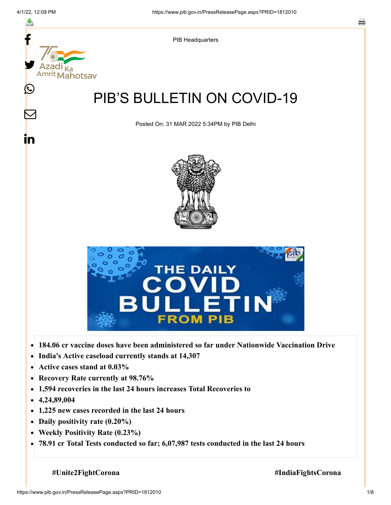

- **Active cases stand at 0.03%**  $\bullet$
- **Recovery Rate currently at 98.76%**  $\bullet$
- **1,594 recoveries in the last 24 hours increases Total Recoveries to**  $\bullet$
- **4,24,89,004**  $\bullet$
- **1,225 new cases recorded in the last 24 hours**
- **Daily positivity rate (0.20%)**
- **Weekly Positivity Rate (0.23%)**  $\bullet$
- **78.91 cr Total Tests conducted so far; 6,07,987 tests conducted in the last 24 hours**  $\bullet$

**#Unite2FightCorona #IndiaFightsCorona**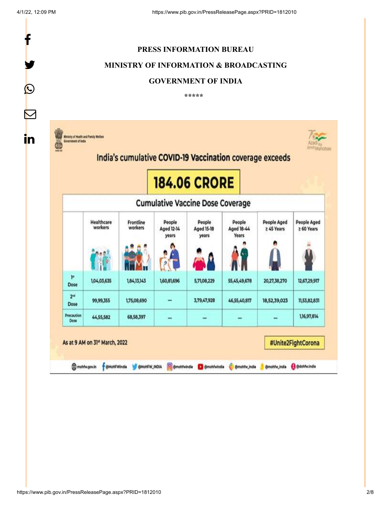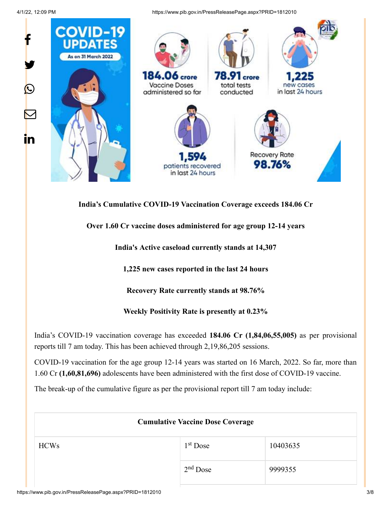4/1/22, 12:09 PM https://www.pib.gov.in/PressReleasePage.aspx?PRID=1812010



#### **India's Cumulative COVID-19 Vaccination Coverage exceeds 184.06 Cr**

## **Over 1.60 Cr vaccine doses administered for age group 12-14 years**

**India's Active caseload currently stands at 14,307**

**1,225 new cases reported in the last 24 hours**

**Recovery Rate currently stands at 98.76%**

**Weekly Positivity Rate is presently at 0.23%**

India's COVID-19 vaccination coverage has exceeded **184.06 Cr (1,84,06,55,005)** as per provisional reports till 7 am today. This has been achieved through 2,19,86,205 sessions.

COVID-19 vaccination for the age group 12-14 years was started on 16 March, 2022. So far, more than 1.60 Cr **(1,60,81,696)** adolescents have been administered with the first dose of COVID-19 vaccine.

The break-up of the cumulative figure as per the provisional report till 7 am today include:

| <b>Cumulative Vaccine Dose Coverage</b> |            |          |
|-----------------------------------------|------------|----------|
| <b>HCWs</b>                             | $1st$ Dose | 10403635 |
|                                         | $2nd$ Dose | 9999355  |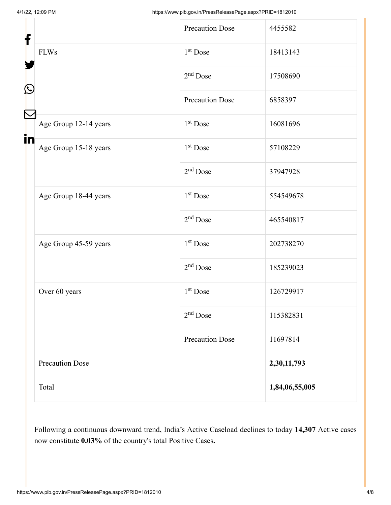| f  |                        | <b>Precaution Dose</b> | 4455582        |
|----|------------------------|------------------------|----------------|
| C  | <b>FLWs</b>            | $1st$ Dose             | 18413143       |
|    |                        | $2nd$ Dose             | 17508690       |
|    |                        | <b>Precaution Dose</b> | 6858397        |
| Ñ  | Age Group 12-14 years  | $1st$ Dose             | 16081696       |
| in | Age Group 15-18 years  | $1st$ Dose             | 57108229       |
|    |                        | $2nd$ Dose             | 37947928       |
|    | Age Group 18-44 years  | $1st$ Dose             | 554549678      |
|    |                        | $2nd$ Dose             | 465540817      |
|    | Age Group 45-59 years  | $1st$ Dose             | 202738270      |
|    |                        | $2nd$ Dose             | 185239023      |
|    | Over 60 years          | 1 <sup>st</sup> Dose   | 126729917      |
|    |                        | $2nd$ Dose             | 115382831      |
|    |                        | <b>Precaution Dose</b> | 11697814       |
|    | <b>Precaution Dose</b> |                        | 2,30,11,793    |
|    | Total                  |                        | 1,84,06,55,005 |

Following a continuous downward trend, India's Active Caseload declines to today **14,307** Active cases now constitute **0.03%** of the country's total Positive Cases**.**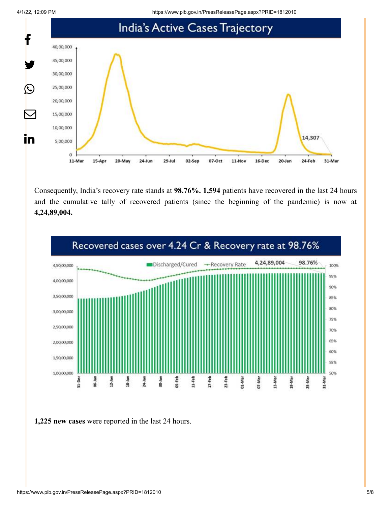4/1/22, 12:09 PM https://www.pib.gov.in/PressReleasePage.aspx?PRID=1812010



Consequently, India's recovery rate stands at **98.76%. 1,594** patients have recovered in the last 24 hours and the cumulative tally of recovered patients (since the beginning of the pandemic) is now at **4,24,89,004.**



**1,225 new cases** were reported in the last 24 hours.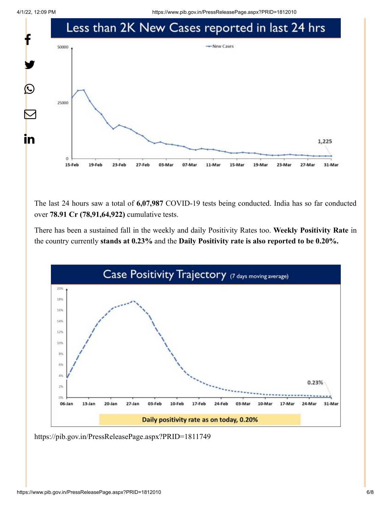4/1/22, 12:09 PM https://www.pib.gov.in/PressReleasePage.aspx?PRID=1812010



The last 24 hours saw a total of **6,07,987** COVID-19 tests being conducted. India has so far conducted over **78.91 Cr (78,91,64,922)** cumulative tests.

There has been a sustained fall in the weekly and daily Positivity Rates too. **Weekly Positivity Rate** in the country currently **stands at 0.23%** and the **Daily Positivity rate is also reported to be 0.20%.**



<https://pib.gov.in/PressReleasePage.aspx?PRID=1811749>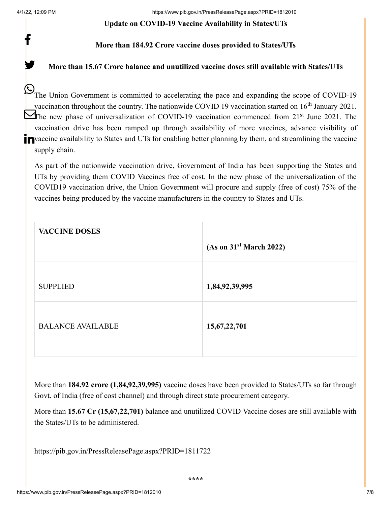f

y.

#### **Update on COVID-19 Vaccine Availability in States/UTs**

### **More than 184.92 Crore vaccine doses provided to States/UTs**

### **More than 15.67 Crore balance and unutilized vaccine doses still available with States/UTs**

The Union Government is committed to accelerating the pace and expanding the scope of COVID-19 vaccination throughout the country. The nationwide COVID 19 vaccination started on  $16<sup>th</sup>$  January 2021. The new phase of universalization of COVID-19 vaccination commenced from  $21<sup>st</sup>$  June 2021. The vaccination drive has been ramped up through availability of more vaccines, advance visibility of **T** vaccine availability to States and UTs for enabling better planning by them, and streamlining the vaccine supply chain.

As part of the nationwide vaccination drive, Government of India has been supporting the States and UTs by providing them COVID Vaccines free of cost. In the new phase of the universalization of the COVID19 vaccination drive, the Union Government will procure and supply (free of cost) 75% of the vaccines being produced by the vaccine manufacturers in the country to States and UTs.

| <b>VACCINE DOSES</b>     |                                     |
|--------------------------|-------------------------------------|
|                          | (As on 31 <sup>st</sup> March 2022) |
| <b>SUPPLIED</b>          | 1,84,92,39,995                      |
|                          |                                     |
| <b>BALANCE AVAILABLE</b> | 15,67,22,701                        |

More than **184.92 crore (1,84,92,39,995)** vaccine doses have been provided to States/UTs so far through Govt. of India (free of cost channel) and through direct state procurement category.

More than **15.67 Cr (15,67,22,701)** balance and unutilized COVID Vaccine doses are still available with the States/UTs to be administered.

<https://pib.gov.in/PressReleasePage.aspx?PRID=1811722>